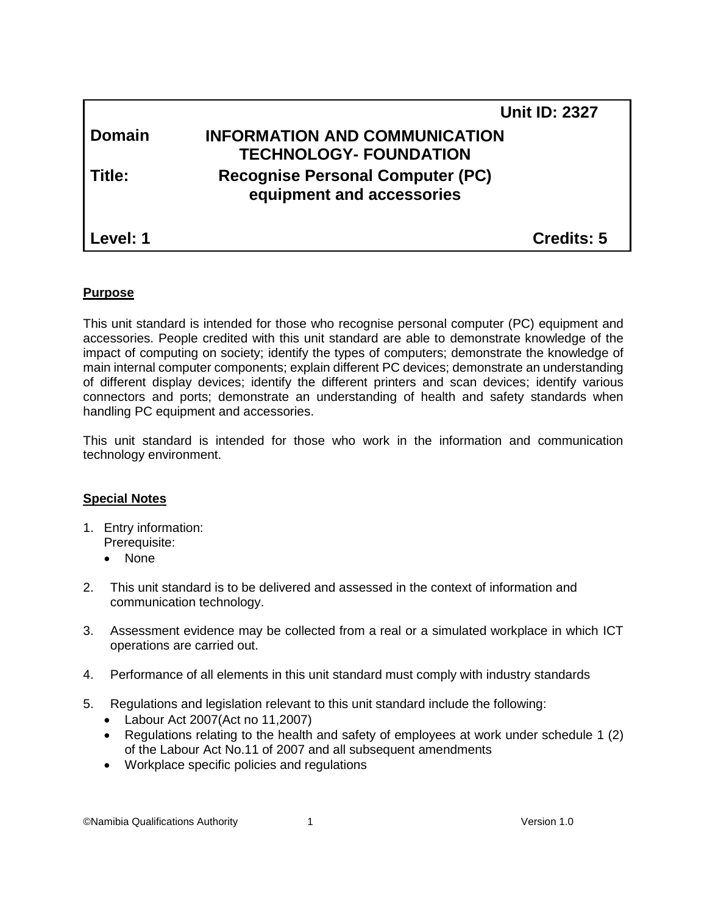|               | <b>Unit ID: 2327</b>                                                  |
|---------------|-----------------------------------------------------------------------|
| <b>Domain</b> | <b>INFORMATION AND COMMUNICATION</b><br><b>TECHNOLOGY- FOUNDATION</b> |
| Title:        | <b>Recognise Personal Computer (PC)</b><br>equipment and accessories  |
| Level: 1      | Credits: 5                                                            |

#### **Purpose**

This unit standard is intended for those who recognise personal computer (PC) equipment and accessories. People credited with this unit standard are able to demonstrate knowledge of the impact of computing on society; identify the types of computers; demonstrate the knowledge of main internal computer components; explain different PC devices; demonstrate an understanding of different display devices; identify the different printers and scan devices; identify various connectors and ports; demonstrate an understanding of health and safety standards when handling PC equipment and accessories.

This unit standard is intended for those who work in the information and communication technology environment.

# **Special Notes**

- 1. Entry information: Prerequisite:
	- None
- 2. This unit standard is to be delivered and assessed in the context of information and communication technology.
- 3. Assessment evidence may be collected from a real or a simulated workplace in which ICT operations are carried out.
- 4. Performance of all elements in this unit standard must comply with industry standards
- 5. Regulations and legislation relevant to this unit standard include the following:
	- Labour Act 2007(Act no 11,2007)
	- Regulations relating to the health and safety of employees at work under schedule 1 (2) of the Labour Act No.11 of 2007 and all subsequent amendments
	- Workplace specific policies and regulations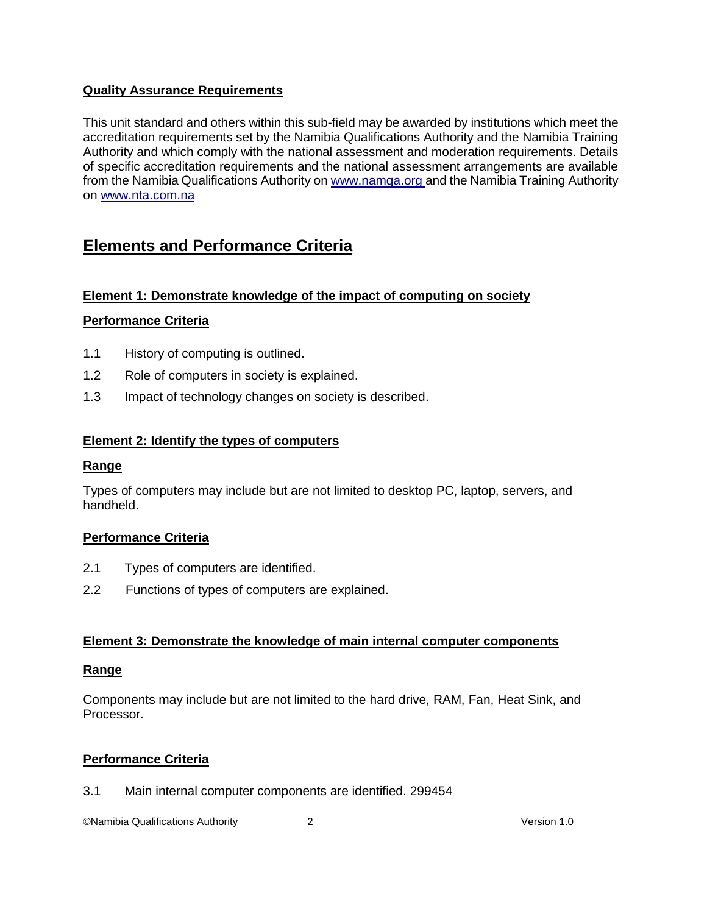# **Quality Assurance Requirements**

This unit standard and others within this sub-field may be awarded by institutions which meet the accreditation requirements set by the Namibia Qualifications Authority and the Namibia Training Authority and which comply with the national assessment and moderation requirements. Details of specific accreditation requirements and the national assessment arrangements are available from the Namibia Qualifications Authority o[n www.namqa.org a](http://www.namqa.org/)nd the Namibia Training Authority on [www.nta.com.na](http://www.nta.com.na/)

# **Elements and Performance Criteria**

# **Element 1: Demonstrate knowledge of the impact of computing on society**

# **Performance Criteria**

- 1.1 History of computing is outlined.
- 1.2 Role of computers in society is explained.
- 1.3 Impact of technology changes on society is described.

# **Element 2: Identify the types of computers**

# **Range**

Types of computers may include but are not limited to desktop PC, laptop, servers, and handheld.

# **Performance Criteria**

- 2.1 Types of computers are identified.
- 2.2 Functions of types of computers are explained.

# **Element 3: Demonstrate the knowledge of main internal computer components**

# **Range**

Components may include but are not limited to the hard drive, RAM, Fan, Heat Sink, and Processor.

# **Performance Criteria**

3.1 Main internal computer components are identified. 299454

©Namibia Qualifications Authority 2 Version 1.0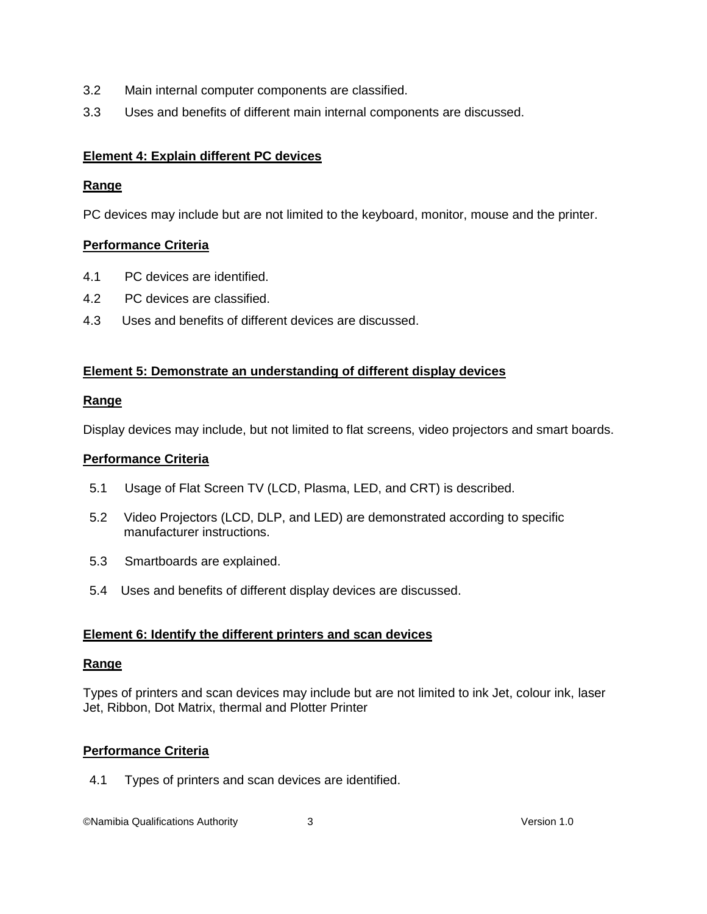- 3.2 Main internal computer components are classified.
- 3.3 Uses and benefits of different main internal components are discussed.

# **Element 4: Explain different PC devices**

# **Range**

PC devices may include but are not limited to the keyboard, monitor, mouse and the printer.

# **Performance Criteria**

- 4.1 PC devices are identified.
- 4.2 PC devices are classified.
- 4.3 Uses and benefits of different devices are discussed.

# **Element 5: Demonstrate an understanding of different display devices**

#### **Range**

Display devices may include, but not limited to flat screens, video projectors and smart boards.

## **Performance Criteria**

- 5.1 Usage of Flat Screen TV (LCD, Plasma, LED, and CRT) is described.
- 5.2 Video Projectors (LCD, DLP, and LED) are demonstrated according to specific manufacturer instructions.
- 5.3 Smartboards are explained.
- 5.4 Uses and benefits of different display devices are discussed.

# **Element 6: Identify the different printers and scan devices**

# **Range**

Types of printers and scan devices may include but are not limited to ink Jet, colour ink, laser Jet, Ribbon, Dot Matrix, thermal and Plotter Printer

# **Performance Criteria**

4.1 Types of printers and scan devices are identified.

©Namibia Qualifications Authority 3 Version 1.0